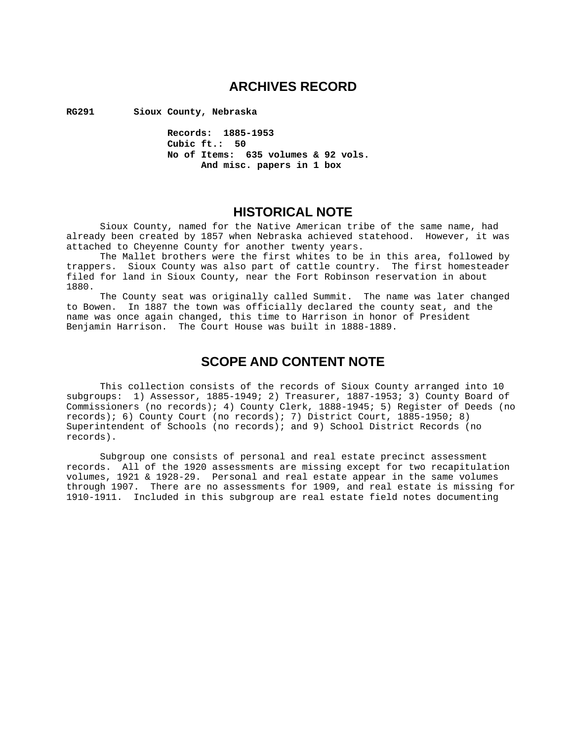## **ARCHIVES RECORD**

**RG291 Sioux County, Nebraska** 

 **Records: 1885-1953 Cubic ft.: 50 No of Items: 635 volumes & 92 vols. And misc. papers in 1 box** 

## **HISTORICAL NOTE**

 Sioux County, named for the Native American tribe of the same name, had already been created by 1857 when Nebraska achieved statehood. However, it was attached to Cheyenne County for another twenty years.

 The Mallet brothers were the first whites to be in this area, followed by trappers. Sioux County was also part of cattle country. The first homesteader filed for land in Sioux County, near the Fort Robinson reservation in about 1880.

 The County seat was originally called Summit. The name was later changed to Bowen. In 1887 the town was officially declared the county seat, and the name was once again changed, this time to Harrison in honor of President Benjamin Harrison. The Court House was built in 1888-1889.

## **SCOPE AND CONTENT NOTE**

 This collection consists of the records of Sioux County arranged into 10 subgroups: 1) Assessor, 1885-1949; 2) Treasurer, 1887-1953; 3) County Board of Commissioners (no records); 4) County Clerk, 1888-1945; 5) Register of Deeds (no records); 6) County Court (no records); 7) District Court, 1885-1950; 8) Superintendent of Schools (no records); and 9) School District Records (no records).

 Subgroup one consists of personal and real estate precinct assessment records. All of the 1920 assessments are missing except for two recapitulation volumes, 1921 & 1928-29. Personal and real estate appear in the same volumes through 1907. There are no assessments for 1909, and real estate is missing for 1910-1911. Included in this subgroup are real estate field notes documenting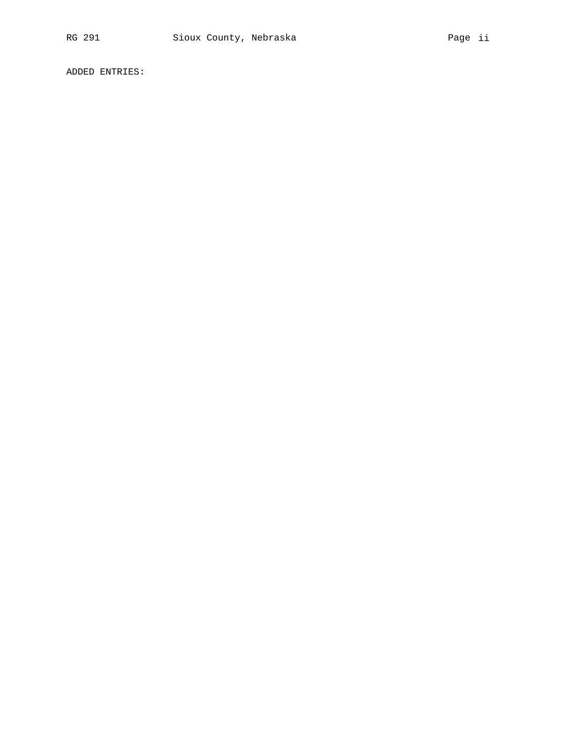ADDED ENTRIES: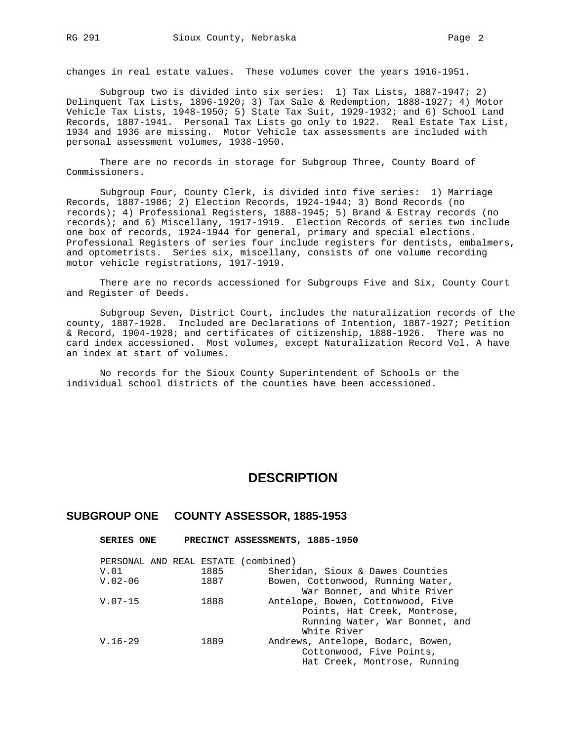changes in real estate values. These volumes cover the years 1916-1951.

 Subgroup two is divided into six series: 1) Tax Lists, 1887-1947; 2) Delinquent Tax Lists, 1896-1920; 3) Tax Sale & Redemption, 1888-1927; 4) Motor Vehicle Tax Lists, 1948-1950; 5) State Tax Suit, 1929-1932; and 6) School Land Records, 1887-1941. Personal Tax Lists go only to 1922. Real Estate Tax List, 1934 and 1936 are missing. Motor Vehicle tax assessments are included with personal assessment volumes, 1938-1950.

 There are no records in storage for Subgroup Three, County Board of Commissioners.

 Subgroup Four, County Clerk, is divided into five series: 1) Marriage Records, 1887-1986; 2) Election Records, 1924-1944; 3) Bond Records (no records); 4) Professional Registers, 1888-1945; 5) Brand & Estray records (no records); and 6) Miscellany, 1917-1919. Election Records of series two include one box of records, 1924-1944 for general, primary and special elections. Professional Registers of series four include registers for dentists, embalmers, and optometrists. Series six, miscellany, consists of one volume recording motor vehicle registrations, 1917-1919.

 There are no records accessioned for Subgroups Five and Six, County Court and Register of Deeds.

 Subgroup Seven, District Court, includes the naturalization records of the county, 1887-1928. Included are Declarations of Intention, 1887-1927; Petition & Record, 1904-1928; and certificates of citizenship, 1888-1926. There was no card index accessioned. Most volumes, except Naturalization Record Vol. A have an index at start of volumes.

 No records for the Sioux County Superintendent of Schools or the individual school districts of the counties have been accessioned.

## **DESCRIPTION**

### **SUBGROUP ONE COUNTY ASSESSOR, 1885-1953**

 **SERIES ONE PRECINCT ASSESSMENTS, 1885-1950** 

| Points, Hat Creek, Montrose,   |
|--------------------------------|
| Running Water, War Bonnet, and |
|                                |
|                                |
|                                |
| Hat Creek, Montrose, Running   |
|                                |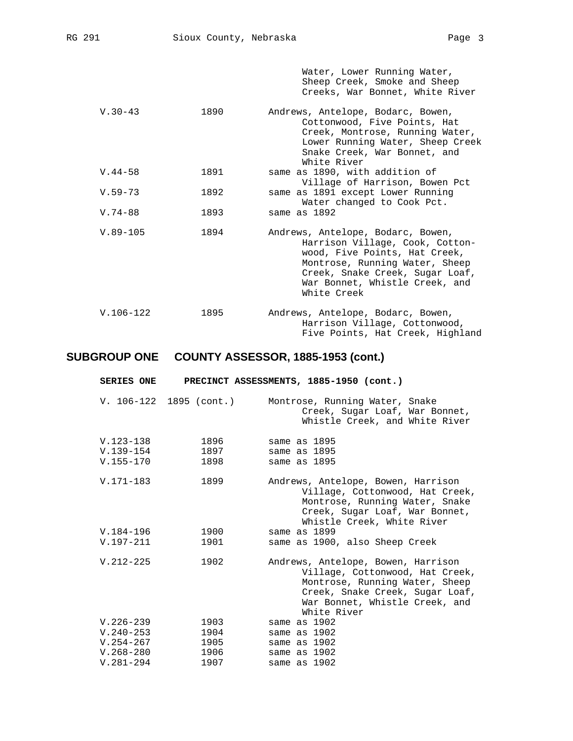|              |      | Water, Lower Running Water,<br>Sheep Creek, Smoke and Sheep<br>Creeks, War Bonnet, White River                                                                                                                              |
|--------------|------|-----------------------------------------------------------------------------------------------------------------------------------------------------------------------------------------------------------------------------|
| $V.30-43$    | 1890 | Andrews, Antelope, Bodarc, Bowen,<br>Cottonwood, Five Points, Hat<br>Creek, Montrose, Running Water,<br>Lower Running Water, Sheep Creek<br>Snake Creek, War Bonnet, and<br>White River                                     |
| $V.44 - 58$  | 1891 | same as 1890, with addition of<br>Village of Harrison, Bowen Pct                                                                                                                                                            |
| $V.59 - 73$  | 1892 | same as 1891 except Lower Running<br>Water changed to Cook Pct.                                                                                                                                                             |
| $V.74 - 88$  | 1893 | same as 1892                                                                                                                                                                                                                |
| $V.89 - 105$ | 1894 | Andrews, Antelope, Bodarc, Bowen,<br>Harrison Village, Cook, Cotton-<br>wood, Five Points, Hat Creek,<br>Montrose, Running Water, Sheep<br>Creek, Snake Creek, Sugar Loaf,<br>War Bonnet, Whistle Creek, and<br>White Creek |
| $V.106-122$  | 1895 | Andrews, Antelope, Bodarc, Bowen,<br>Harrison Village, Cottonwood,<br>Five Points, Hat Creek, Highland                                                                                                                      |

| <b>SERIES ONE</b>                     |                         | PRECINCT ASSESSMENTS, 1885-1950 (cont.)                                                                                                                                                     |
|---------------------------------------|-------------------------|---------------------------------------------------------------------------------------------------------------------------------------------------------------------------------------------|
|                                       | V. 106-122 1895 (cont.) | Montrose, Running Water, Snake<br>Creek, Sugar Loaf, War Bonnet,<br>Whistle Creek, and White River                                                                                          |
| V.123-138<br>$V.139-154$<br>V.155-170 | 1896<br>1897<br>1898    | same as 1895<br>same as 1895<br>same as 1895                                                                                                                                                |
| V.171-183                             | 1899                    | Andrews, Antelope, Bowen, Harrison<br>Village, Cottonwood, Hat Creek,<br>Montrose, Running Water, Snake<br>Creek, Sugar Loaf, War Bonnet,<br>Whistle Creek, White River                     |
| V.184-196                             | 1900                    | same as 1899                                                                                                                                                                                |
| V.197-211                             | 1901                    | same as 1900, also Sheep Creek                                                                                                                                                              |
| $V.212 - 225$                         | 1902                    | Andrews, Antelope, Bowen, Harrison<br>Village, Cottonwood, Hat Creek,<br>Montrose, Running Water, Sheep<br>Creek, Snake Creek, Sugar Loaf,<br>War Bonnet, Whistle Creek, and<br>White River |
| $V.226 - 239$                         | 1903                    | same as 1902                                                                                                                                                                                |
| $V.240 - 253$                         | 1904                    | same as 1902                                                                                                                                                                                |
| V.254-267                             | 1905                    | same as 1902                                                                                                                                                                                |
| $V.268 - 280$                         | 1906                    | same as 1902                                                                                                                                                                                |
| $V.281 - 294$                         | 1907                    | same as 1902                                                                                                                                                                                |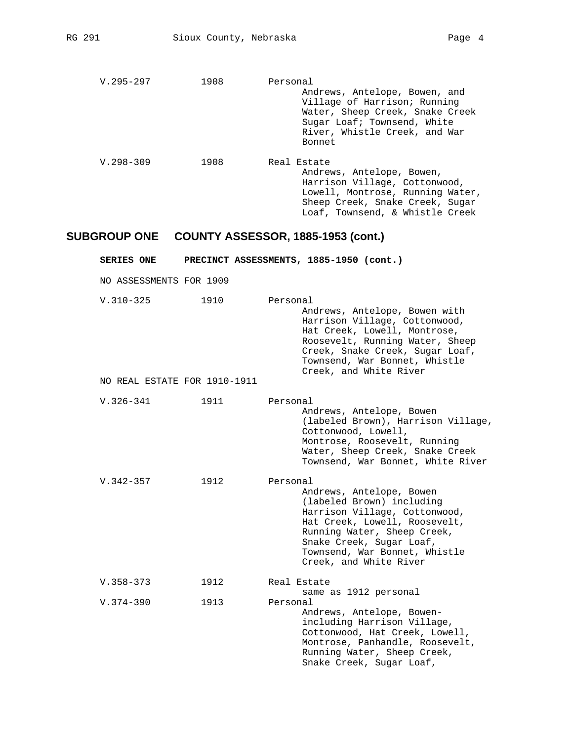| $V.295 - 297$ | 1908 | Personal                                                                                                                                                                            |
|---------------|------|-------------------------------------------------------------------------------------------------------------------------------------------------------------------------------------|
|               |      | Andrews, Antelope, Bowen, and<br>Village of Harrison; Running<br>Water, Sheep Creek, Snake Creek<br>Sugar Loaf; Townsend, White<br>River, Whistle Creek, and War<br>Bonnet          |
| $V.298 - 309$ | 1908 | Real Estate<br>Andrews, Antelope, Bowen,<br>Harrison Village, Cottonwood,<br>Lowell, Montrose, Running Water,<br>Sheep Creek, Snake Creek, Sugar<br>Loaf, Townsend, & Whistle Creek |

| <b>SERIES ONE</b>            |      | PRECINCT ASSESSMENTS, 1885-1950 (cont.)                                                                                                                                                                                                                   |
|------------------------------|------|-----------------------------------------------------------------------------------------------------------------------------------------------------------------------------------------------------------------------------------------------------------|
| NO ASSESSMENTS FOR 1909      |      |                                                                                                                                                                                                                                                           |
| $V.310 - 325$                | 1910 | Personal<br>Andrews, Antelope, Bowen with<br>Harrison Village, Cottonwood,<br>Hat Creek, Lowell, Montrose,<br>Roosevelt, Running Water, Sheep<br>Creek, Snake Creek, Sugar Loaf,<br>Townsend, War Bonnet, Whistle<br>Creek, and White River               |
| NO REAL ESTATE FOR 1910-1911 |      |                                                                                                                                                                                                                                                           |
| $V.326 - 341$                | 1911 | Personal<br>Andrews, Antelope, Bowen<br>(labeled Brown), Harrison Village,<br>Cottonwood, Lowell,<br>Montrose, Roosevelt, Running<br>Water, Sheep Creek, Snake Creek<br>Townsend, War Bonnet, White River                                                 |
| $V.342 - 357$                | 1912 | Personal<br>Andrews, Antelope, Bowen<br>(labeled Brown) including<br>Harrison Village, Cottonwood,<br>Hat Creek, Lowell, Roosevelt,<br>Running Water, Sheep Creek,<br>Snake Creek, Sugar Loaf,<br>Townsend, War Bonnet, Whistle<br>Creek, and White River |
| $V.358 - 373$                | 1912 | Real Estate                                                                                                                                                                                                                                               |
| $V.374 - 390$                | 1913 | same as 1912 personal<br>Personal<br>Andrews, Antelope, Bowen-<br>including Harrison Village,<br>Cottonwood, Hat Creek, Lowell,<br>Montrose, Panhandle, Roosevelt,<br>Running Water, Sheep Creek,<br>Snake Creek, Sugar Loaf,                             |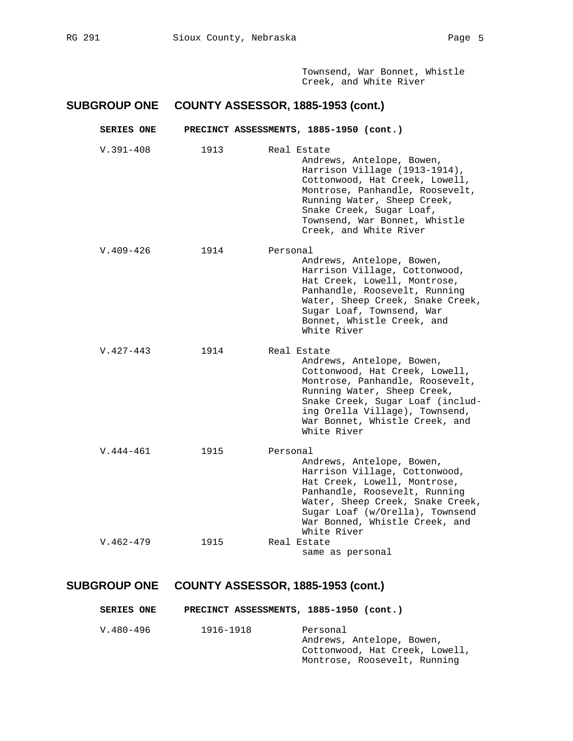Townsend, War Bonnet, Whistle Creek, and White River

## **SUBGROUP ONE COUNTY ASSESSOR, 1885-1953 (cont.)**

| <b>SERIES ONE</b> |      | PRECINCT ASSESSMENTS, 1885-1950 (cont.)                                                                                                                                                                                                                              |
|-------------------|------|----------------------------------------------------------------------------------------------------------------------------------------------------------------------------------------------------------------------------------------------------------------------|
| $V.391 - 408$     | 1913 | Real Estate<br>Andrews, Antelope, Bowen,<br>Harrison Village (1913-1914),<br>Cottonwood, Hat Creek, Lowell,<br>Montrose, Panhandle, Roosevelt,<br>Running Water, Sheep Creek,<br>Snake Creek, Sugar Loaf,<br>Townsend, War Bonnet, Whistle<br>Creek, and White River |
| $V.409-426$       | 1914 | Personal<br>Andrews, Antelope, Bowen,<br>Harrison Village, Cottonwood,<br>Hat Creek, Lowell, Montrose,<br>Panhandle, Roosevelt, Running<br>Water, Sheep Creek, Snake Creek,<br>Sugar Loaf, Townsend, War<br>Bonnet, Whistle Creek, and<br>White River                |
| $V.427 - 443$     | 1914 | Real Estate<br>Andrews, Antelope, Bowen,<br>Cottonwood, Hat Creek, Lowell,<br>Montrose, Panhandle, Roosevelt,<br>Running Water, Sheep Creek,<br>Snake Creek, Sugar Loaf (includ-<br>ing Orella Village), Townsend,<br>War Bonnet, Whistle Creek, and<br>White River  |
| $V.444 - 461$     | 1915 | Personal<br>Andrews, Antelope, Bowen,<br>Harrison Village, Cottonwood,<br>Hat Creek, Lowell, Montrose,<br>Panhandle, Roosevelt, Running<br>Water, Sheep Creek, Snake Creek,<br>Sugar Loaf (w/Orella), Townsend<br>War Bonned, Whistle Creek, and<br>White River      |
| $V.462 - 479$     | 1915 | Real Estate<br>same as personal                                                                                                                                                                                                                                      |

| <b>SERIES ONE</b> | PRECINCT ASSESSMENTS, 1885-1950 (cont.) |                                                                                                         |
|-------------------|-----------------------------------------|---------------------------------------------------------------------------------------------------------|
| V.480-496         | 1916-1918                               | Personal<br>Andrews, Antelope, Bowen,<br>Cottonwood, Hat Creek, Lowell,<br>Montrose, Roosevelt, Running |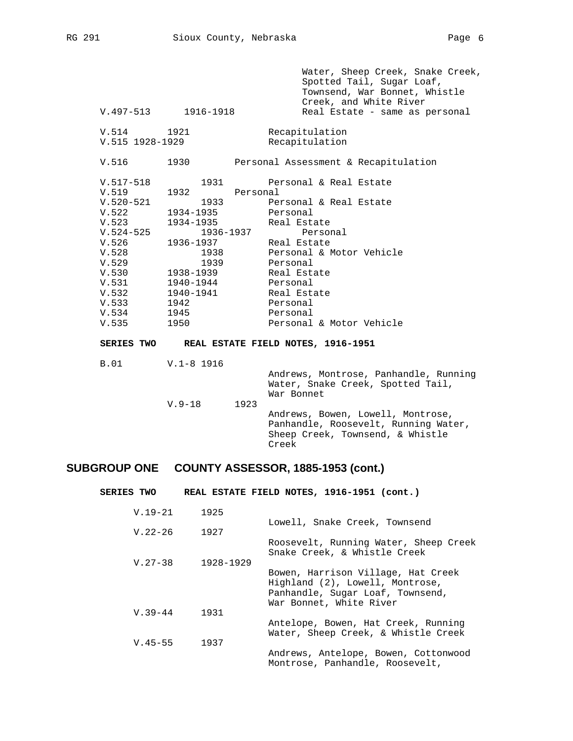|               | V.497-513 1916-1918 |           | Water, Sheep Creek, Snake Creek,<br>Spotted Tail, Sugar Loaf,<br>Townsend, War Bonnet, Whistle<br>Creek, and White River<br>Real Estate - same as personal |
|---------------|---------------------|-----------|------------------------------------------------------------------------------------------------------------------------------------------------------------|
| V.514         | 1921                |           | Recapitulation                                                                                                                                             |
|               | V.515 1928-1929     |           | Recapitulation                                                                                                                                             |
| V.516         | 1930                |           | Personal Assessment & Recapitulation                                                                                                                       |
| $V.517 - 518$ | 1931                |           | Personal & Real Estate                                                                                                                                     |
| V.519         | 1932                | Personal  |                                                                                                                                                            |
| $V.520 - 521$ | 1933                |           | Personal & Real Estate                                                                                                                                     |
| V.522         | 1934-1935           |           | Personal                                                                                                                                                   |
| V.523         | 1934-1935           |           | Real Estate                                                                                                                                                |
| $V.524 - 525$ |                     | 1936-1937 | Personal                                                                                                                                                   |
| V.526         | 1936-1937           |           | Real Estate                                                                                                                                                |
| V.528         | 1938                |           | Personal & Motor Vehicle                                                                                                                                   |
| V.529         | 1939                |           | Personal                                                                                                                                                   |
| V.530         | 1938-1939           |           | Real Estate                                                                                                                                                |
| V.531         | 1940-1944           |           | Personal                                                                                                                                                   |
| V.532         | 1940-1941           |           | Real Estate                                                                                                                                                |
| V.533         | 1942                |           | Personal                                                                                                                                                   |
| V.534         | 1945                |           | Personal                                                                                                                                                   |
| V.535         | 1950                |           | Personal & Motor Vehicle                                                                                                                                   |
|               |                     |           | SERIES TWO REAL ESTATE FIELD NOTES, 1916-1951                                                                                                              |
| B.01          | V.1-8 1916          |           |                                                                                                                                                            |
|               | $V.9-18$            | 1923      | Andrews, Montrose, Panhandle, Running<br>Water, Snake Creek, Spotted Tail,<br>War Bonnet                                                                   |
|               |                     |           | Andrews, Bowen, Lowell, Montrose,<br>Panhandle, Roosevelt, Running Water,<br>Sheep Creek, Townsend, & Whistle<br>Creek                                     |

| SERIES TWO  |           | REAL ESTATE FIELD NOTES, 1916-1951 (cont.)                                                                                           |
|-------------|-----------|--------------------------------------------------------------------------------------------------------------------------------------|
| $V.19-21$   | 1925      |                                                                                                                                      |
| $V.22 - 26$ | 1927      | Lowell, Snake Creek, Townsend                                                                                                        |
| $V.27 - 38$ | 1928-1929 | Roosevelt, Running Water, Sheep Creek<br>Snake Creek, & Whistle Creek                                                                |
|             |           | Bowen, Harrison Village, Hat Creek<br>Highland (2), Lowell, Montrose,<br>Panhandle, Sugar Loaf, Townsend,<br>War Bonnet, White River |
| $V.39 - 44$ | 1931      |                                                                                                                                      |
| $V.45 - 55$ | 1937      | Antelope, Bowen, Hat Creek, Running<br>Water, Sheep Creek, & Whistle Creek                                                           |
|             |           | Andrews, Antelope, Bowen, Cottonwood<br>Montrose, Panhandle, Roosevelt,                                                              |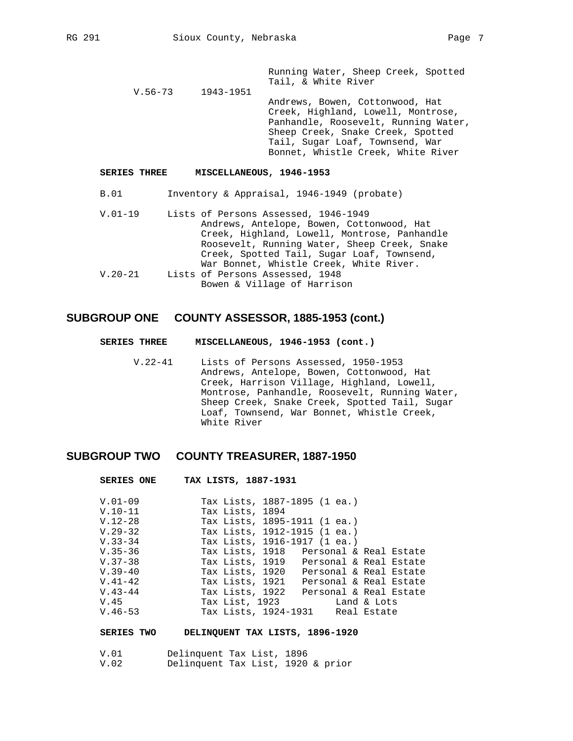Running Water, Sheep Creek, Spotted Tail, & White River<br>1943-1951

 $V.56 - 73$  Andrews, Bowen, Cottonwood, Hat Creek, Highland, Lowell, Montrose, Panhandle, Roosevelt, Running Water, Sheep Creek, Snake Creek, Spotted Tail, Sugar Loaf, Townsend, War Bonnet, Whistle Creek, White River

#### **SERIES THREE MISCELLANEOUS, 1946-1953**

- B.01 Inventory & Appraisal, 1946-1949 (probate)
- V.01-19 Lists of Persons Assessed, 1946-1949 Andrews, Antelope, Bowen, Cottonwood, Hat Creek, Highland, Lowell, Montrose, Panhandle Roosevelt, Running Water, Sheep Creek, Snake Creek, Spotted Tail, Sugar Loaf, Townsend, War Bonnet, Whistle Creek, White River.<br>V.20-21 Lists of Persons Assessed, 1948 Lists of Persons Assessed, 1948 Bowen & Village of Harrison

### **SUBGROUP ONE COUNTY ASSESSOR, 1885-1953 (cont.)**

- **SERIES THREE MISCELLANEOUS, 1946-1953 (cont.)**
	- V.22-41 Lists of Persons Assessed, 1950-1953 Andrews, Antelope, Bowen, Cottonwood, Hat Creek, Harrison Village, Highland, Lowell, Montrose, Panhandle, Roosevelt, Running Water, Sheep Creek, Snake Creek, Spotted Tail, Sugar Loaf, Townsend, War Bonnet, Whistle Creek, White River

## **SUBGROUP TWO COUNTY TREASURER, 1887-1950**

 **SERIES ONE TAX LISTS, 1887-1931** 

| SERIES ONE  | IAX LISTS, 1887-1931                      |
|-------------|-------------------------------------------|
| $V.01-09$   | Tax Lists, 1887-1895 (1 ea.)              |
| $V.10-11$   | Tax Lists, 1894                           |
| $V.12-28$   | Tax Lists, 1895-1911 (1 ea.)              |
| $V.29-32$   | Tax Lists, 1912-1915 (1 ea.)              |
| V.33-34     | Tax Lists, 1916-1917 (1 ea.)              |
| $V.35 - 36$ | Tax Lists, 1918 Personal & Real Estate    |
| $V.37-38$   | Tax Lists, 1919 Personal & Real Estate    |
| $V.39-40$   | Tax Lists, 1920 Personal & Real Estate    |
| $V.41-42$   | Tax Lists, 1921<br>Personal & Real Estate |
| $V.43 - 44$ | Tax Lists, 1922<br>Personal & Real Estate |
| V.45        | Tax List, 1923<br>Land & Lots             |
| $V.46-53$   | Tax Lists, 1924-1931 Real Estate          |

#### **SERIES TWO DELINQUENT TAX LISTS, 1896-1920**

| V.O1 | Delinquent Tax List, 1896 |                                   |
|------|---------------------------|-----------------------------------|
| V.O2 |                           | Delinquent Tax List, 1920 & prior |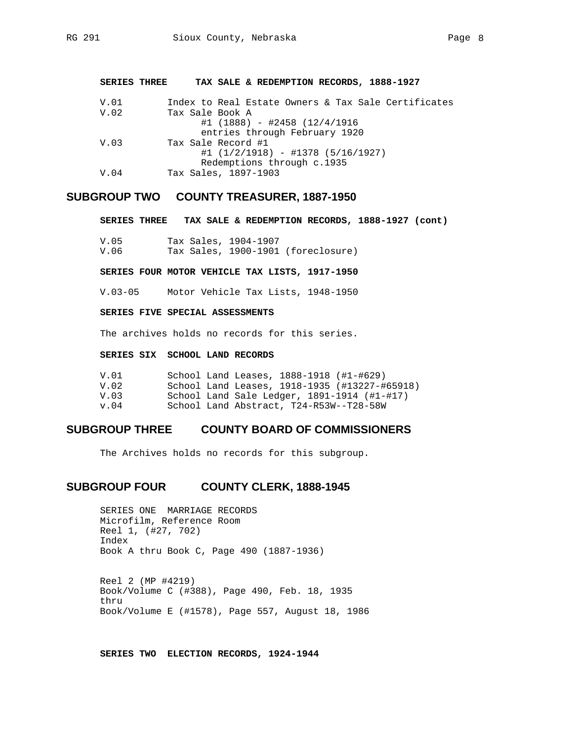**SERIES THREE TAX SALE & REDEMPTION RECORDS, 1888-1927** 

| V.01 | Index to Real Estate Owners & Tax Sale Certificates |
|------|-----------------------------------------------------|
| V.02 | Tax Sale Book A                                     |
|      | $\#1$ (1888) - $\#2458$ (12/4/1916                  |
|      | entries through February 1920                       |
| V.03 | Tax Sale Record #1                                  |
|      | $\#1$ (1/2/1918) - $\#1378$ (5/16/1927)             |
|      | Redemptions through c.1935                          |
| V.04 | Tax Sales, 1897-1903                                |
|      |                                                     |

## **SUBGROUP TWO COUNTY TREASURER, 1887-1950**

**SERIES THREE TAX SALE & REDEMPTION RECORDS, 1888-1927 (cont)** 

| V.O5 | Tax Sales, 1904–1907 |                                    |
|------|----------------------|------------------------------------|
| V.O6 |                      | Tax Sales, 1900-1901 (foreclosure) |

**SERIES FOUR MOTOR VEHICLE TAX LISTS, 1917-1950** 

V.03-05 Motor Vehicle Tax Lists, 1948-1950

#### **SERIES FIVE SPECIAL ASSESSMENTS**

The archives holds no records for this series.

### **SERIES SIX SCHOOL LAND RECORDS**

| V. 01             | School Land Leases, 1888-1918 (#1-#629)       |
|-------------------|-----------------------------------------------|
| V. 02             | School Land Leases, 1918-1935 (#13227-#65918) |
| V.03              | School Land Sale Ledger, $1891-1914$ (#1-#17) |
| $\mathbf{v}$ . 04 | School Land Abstract, T24-R53W--T28-58W       |

### **SUBGROUP THREE COUNTY BOARD OF COMMISSIONERS**

The Archives holds no records for this subgroup.

### **SUBGROUP FOUR COUNTY CLERK, 1888-1945**

SERIES ONE MARRIAGE RECORDS Microfilm, Reference Room Reel 1, (#27, 702) Index Book A thru Book C, Page 490 (1887-1936)

 Reel 2 (MP #4219) Book/Volume C (#388), Page 490, Feb. 18, 1935 thru Book/Volume E (#1578), Page 557, August 18, 1986

**SERIES TWO ELECTION RECORDS, 1924-1944**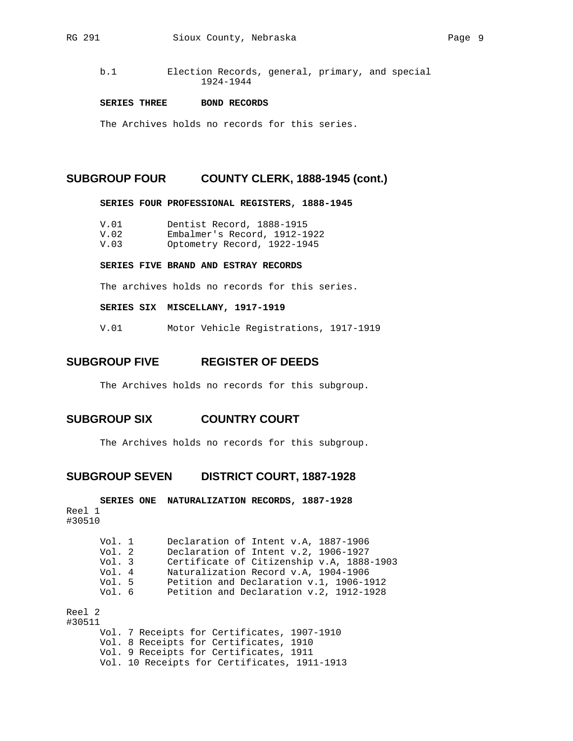#### **SERIES THREE BOND RECORDS**

The Archives holds no records for this series.

### **SUBGROUP FOUR COUNTY CLERK, 1888-1945 (cont.)**

**SERIES FOUR PROFESSIONAL REGISTERS, 1888-1945** 

| Dentist Record, 1888-1915<br>V.01 |  |
|-----------------------------------|--|
|-----------------------------------|--|

- V.02 Embalmer's Record, 1912-1922
- V.03 Optometry Record, 1922-1945

#### **SERIES FIVE BRAND AND ESTRAY RECORDS**

The archives holds no records for this series.

#### **SERIES SIX MISCELLANY, 1917-1919**

V.01 Motor Vehicle Registrations, 1917-1919

## **SUBGROUP FIVE REGISTER OF DEEDS**

The Archives holds no records for this subgroup.

## **SUBGROUP SIX COUNTRY COURT**

The Archives holds no records for this subgroup.

### **SUBGROUP SEVEN DISTRICT COURT, 1887-1928**

**SERIES ONE NATURALIZATION RECORDS, 1887-1928**  Reel 1 #30510 Vol. 1 Declaration of Intent v.A, 1887-1906<br>Vol. 2 Declaration of Intent v.2, 1906-1927 Vol. 2 Declaration of Intent v.2, 1906-1927<br>Vol. 3 Certificate of Citizenship v.A, 1888 Vol. 3 Certificate of Citizenship v.A, 1888-1903<br>Vol. 4 Naturalization Record v.A, 1904-1906 Vol. 4 Maturalization Record v.A, 1904-1906<br>Vol. 5 Petition and Declaration v.1, 1906-1 Vol. 5 Petition and Declaration v.1, 1906-1912<br>Vol. 6 Petition and Declaration v.2, 1912-1928 Petition and Declaration v.2, 1912-1928 Reel 2 #30511 Vol. 7 Receipts for Certificates, 1907-1910 Vol. 8 Receipts for Certificates, 1910 Vol. 9 Receipts for Certificates, 1911 Vol. 10 Receipts for Certificates, 1911-1913